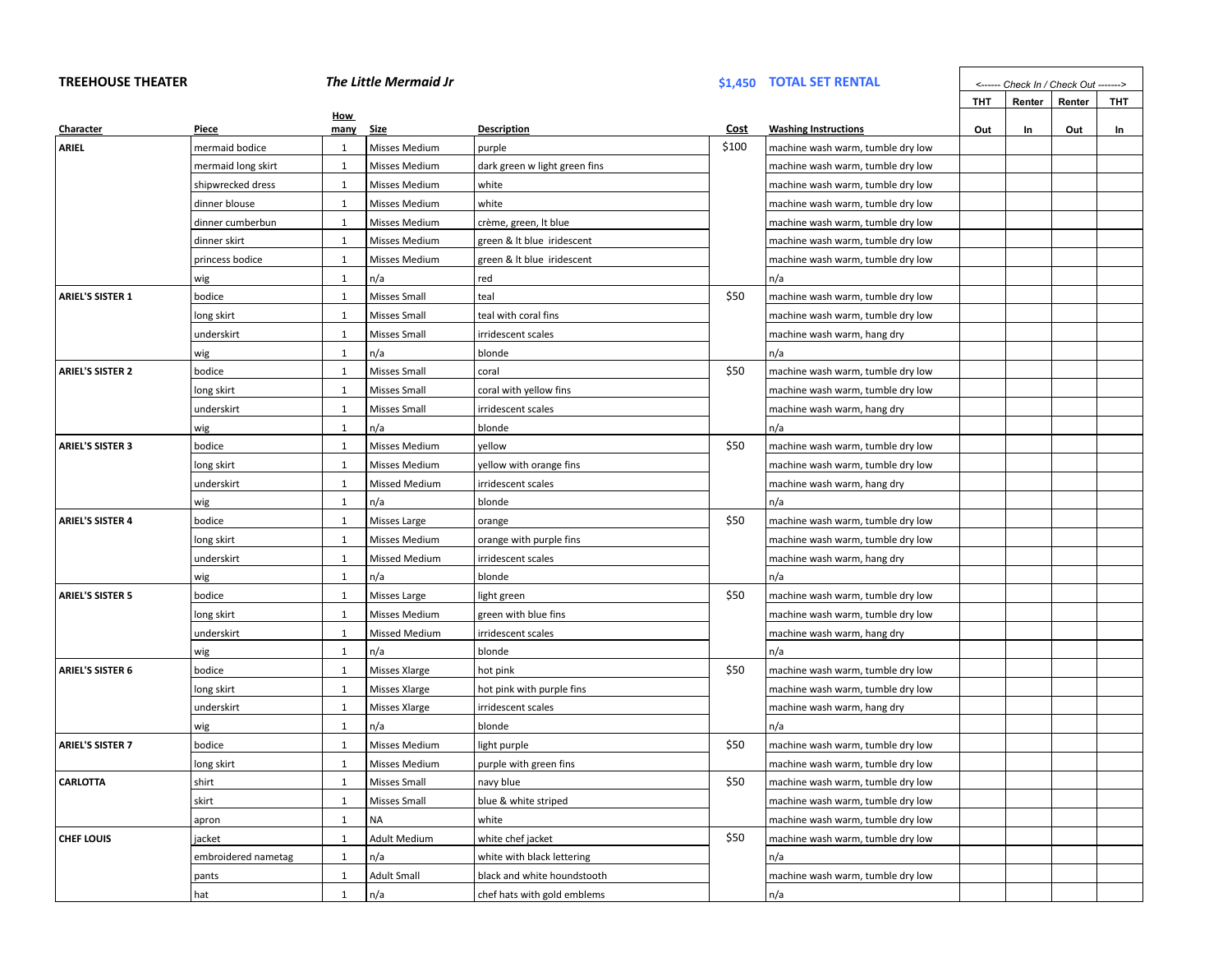## **TREEHOUSE THEATER** *The Little Mermaid Jr* **\$1,450 TOTAL SET RENTAL** *<------ Check In / Check Out ------->*

|                         |                     |              |                      |                               |       |                                   | тнт | Renter | Renter | тнт |
|-------------------------|---------------------|--------------|----------------------|-------------------------------|-------|-----------------------------------|-----|--------|--------|-----|
| Character               | Piece               | How<br>many  | <u>Size</u>          | <b>Description</b>            | Cost  | <b>Washing Instructions</b>       | Out | In     | Out    | In  |
| ARIEL                   | mermaid bodice      | $\mathbf{1}$ | Misses Medium        | purple                        | \$100 | machine wash warm, tumble dry low |     |        |        |     |
|                         | mermaid long skirt  | $\mathbf{1}$ | Misses Medium        | dark green w light green fins |       | machine wash warm, tumble dry low |     |        |        |     |
|                         | shipwrecked dress   | $\mathbf{1}$ | Misses Medium        | white                         |       | machine wash warm, tumble dry low |     |        |        |     |
|                         | dinner blouse       | 1            | <b>Misses Medium</b> | white                         |       | machine wash warm, tumble dry low |     |        |        |     |
|                         | dinner cumberbun    | $\mathbf{1}$ | Misses Medium        | crème, green, It blue         |       | machine wash warm, tumble dry low |     |        |        |     |
|                         | dinner skirt        | $\mathbf{1}$ | <b>Misses Medium</b> | green & It blue iridescent    |       | machine wash warm, tumble dry low |     |        |        |     |
|                         | princess bodice     | 1            | Misses Medium        | green & It blue iridescent    |       | machine wash warm, tumble dry low |     |        |        |     |
|                         | wig                 | 1            | n/a                  | red                           |       | n/a                               |     |        |        |     |
| <b>ARIEL'S SISTER 1</b> | bodice              | 1            | Misses Small         | teal                          | \$50  | machine wash warm, tumble dry low |     |        |        |     |
|                         | long skirt          | $\mathbf{1}$ | <b>Misses Small</b>  | teal with coral fins          |       | machine wash warm, tumble dry low |     |        |        |     |
|                         | underskirt          | 1            | <b>Misses Small</b>  | irridescent scales            |       | machine wash warm, hang dry       |     |        |        |     |
|                         | wig                 | 1            | n/a                  | blonde                        |       | n/a                               |     |        |        |     |
| <b>ARIEL'S SISTER 2</b> | bodice              | $\mathbf{1}$ | Misses Small         | coral                         | \$50  | machine wash warm, tumble dry low |     |        |        |     |
|                         | long skirt          | $\mathbf{1}$ | Misses Small         | coral with yellow fins        |       | machine wash warm, tumble dry low |     |        |        |     |
|                         | underskirt          | $\mathbf{1}$ | <b>Misses Small</b>  | irridescent scales            |       | machine wash warm, hang dry       |     |        |        |     |
|                         | wig                 | $\mathbf{1}$ | n/a                  | blonde                        |       | n/a                               |     |        |        |     |
| <b>ARIEL'S SISTER 3</b> | bodice              | 1            | Misses Medium        | yellow                        | \$50  | machine wash warm, tumble dry low |     |        |        |     |
|                         | long skirt          | $\mathbf{1}$ | Misses Medium        | yellow with orange fins       |       | machine wash warm, tumble dry low |     |        |        |     |
|                         | underskirt          | 1            | <b>Missed Medium</b> | irridescent scales            |       | machine wash warm, hang dry       |     |        |        |     |
|                         | wig                 | $\mathbf{1}$ | n/a                  | blonde                        |       | n/a                               |     |        |        |     |
| <b>ARIEL'S SISTER 4</b> | bodice              | $\mathbf{1}$ | Misses Large         | orange                        | \$50  | machine wash warm, tumble dry low |     |        |        |     |
|                         | long skirt          | $\mathbf{1}$ | Misses Medium        | orange with purple fins       |       | machine wash warm, tumble dry low |     |        |        |     |
|                         | underskirt          | 1            | <b>Missed Medium</b> | irridescent scales            |       | machine wash warm, hang dry       |     |        |        |     |
|                         | wig                 | $\mathbf{1}$ | n/a                  | blonde                        |       | n/a                               |     |        |        |     |
| <b>ARIEL'S SISTER 5</b> | bodice              | $\mathbf{1}$ | Misses Large         | light green                   | \$50  | machine wash warm, tumble dry low |     |        |        |     |
|                         | long skirt          | $\mathbf{1}$ | Misses Medium        | green with blue fins          |       | machine wash warm, tumble dry low |     |        |        |     |
|                         | underskirt          | 1            | <b>Missed Medium</b> | irridescent scales            |       | machine wash warm, hang dry       |     |        |        |     |
|                         | wig                 | 1            | n/a                  | blonde                        |       | n/a                               |     |        |        |     |
| <b>ARIEL'S SISTER 6</b> | bodice              | 1            | Misses Xlarge        | hot pink                      | \$50  | machine wash warm, tumble dry low |     |        |        |     |
|                         | long skirt          | $\mathbf{1}$ | Misses Xlarge        | hot pink with purple fins     |       | machine wash warm, tumble dry low |     |        |        |     |
|                         | underskirt          | 1            | Misses Xlarge        | irridescent scales            |       | machine wash warm, hang dry       |     |        |        |     |
|                         | wig                 | 1            | n/a                  | blonde                        |       | n/a                               |     |        |        |     |
| <b>ARIEL'S SISTER 7</b> | bodice              | $\mathbf{1}$ | Misses Medium        | light purple                  | \$50  | machine wash warm, tumble dry low |     |        |        |     |
|                         | long skirt          | 1            | Misses Medium        | purple with green fins        |       | machine wash warm, tumble dry low |     |        |        |     |
| <b>CARLOTTA</b>         | shirt               | 1            | Misses Small         | navy blue                     | \$50  | machine wash warm, tumble dry low |     |        |        |     |
|                         | skirt               | 1            | <b>Misses Small</b>  | blue & white striped          |       | machine wash warm, tumble dry low |     |        |        |     |
|                         | apron               | 1            | NA                   | white                         |       | machine wash warm, tumble dry low |     |        |        |     |
| <b>CHEF LOUIS</b>       | jacket              | 1            | <b>Adult Medium</b>  | white chef jacket             | \$50  | machine wash warm, tumble dry low |     |        |        |     |
|                         | embroidered nametag | 1            | n/a                  | white with black lettering    |       | n/a                               |     |        |        |     |
|                         | pants               | $\mathbf{1}$ | <b>Adult Small</b>   | black and white houndstooth   |       | machine wash warm, tumble dry low |     |        |        |     |
|                         | hat                 | $\mathbf{1}$ | n/a                  | chef hats with gold emblems   |       | n/a                               |     |        |        |     |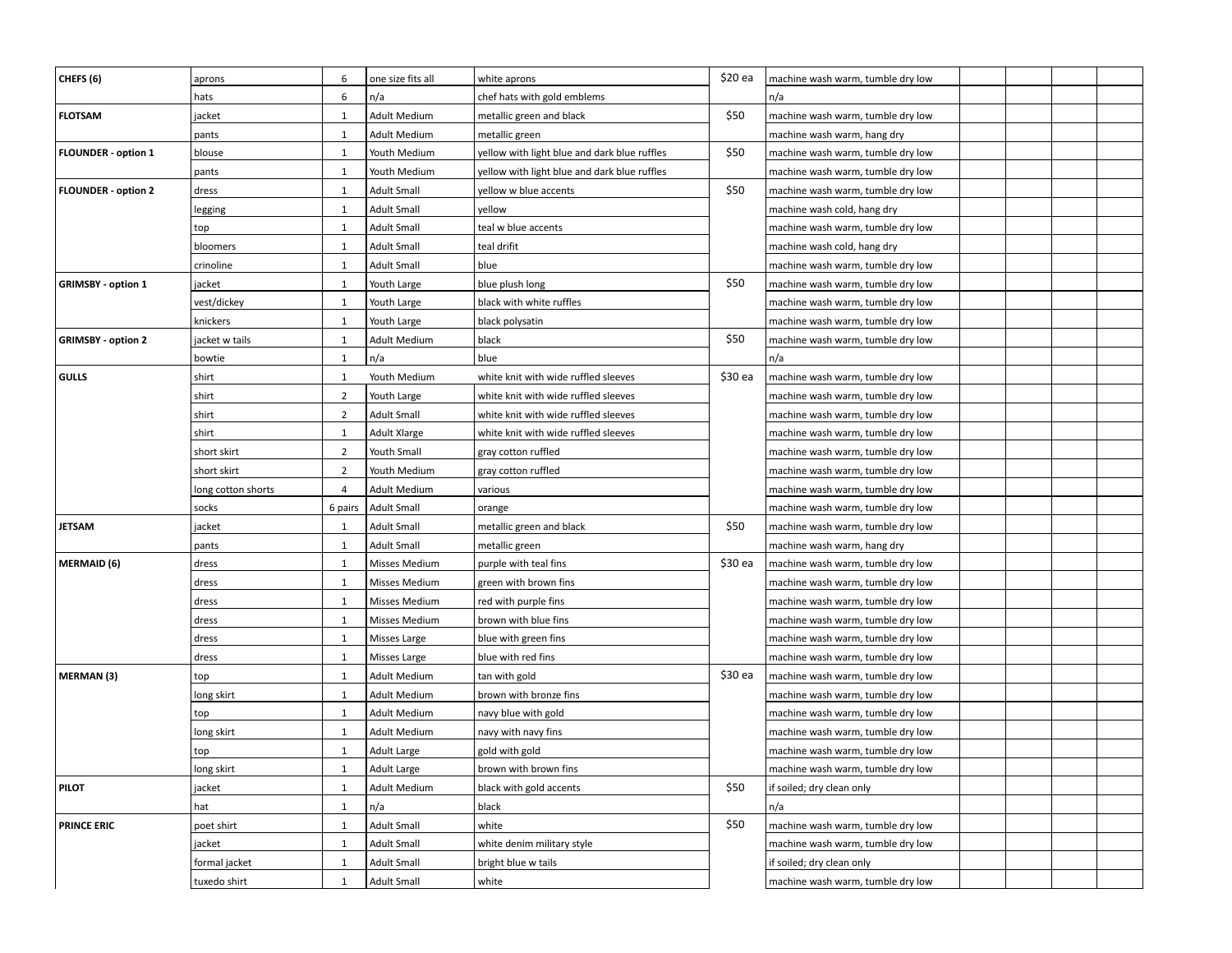| CHEFS (6)                  | aprons             | 6              | one size fits all   | white aprons                                 | \$20 ea | machine wash warm, tumble dry low |
|----------------------------|--------------------|----------------|---------------------|----------------------------------------------|---------|-----------------------------------|
|                            | hats               | 6              | n/a                 | chef hats with gold emblems                  |         | n/a                               |
| <b>FLOTSAM</b>             | jacket             | $\mathbf{1}$   | <b>Adult Medium</b> | metallic green and black                     | \$50    | machine wash warm, tumble dry low |
|                            | pants              | $\mathbf{1}$   | <b>Adult Medium</b> | metallic green                               |         | machine wash warm, hang dry       |
| <b>FLOUNDER - option 1</b> | blouse             | $\mathbf{1}$   | Youth Medium        | yellow with light blue and dark blue ruffles | \$50    | machine wash warm, tumble dry low |
|                            | pants              | $\mathbf{1}$   | Youth Medium        | yellow with light blue and dark blue ruffles |         | machine wash warm, tumble dry low |
| <b>FLOUNDER - option 2</b> | dress              | $\mathbf{1}$   | <b>Adult Small</b>  | yellow w blue accents                        | \$50    | machine wash warm, tumble dry low |
|                            | legging            | $\mathbf{1}$   | <b>Adult Small</b>  | vellow                                       |         | machine wash cold, hang dry       |
|                            | top                | $\mathbf{1}$   | <b>Adult Small</b>  | teal w blue accents                          |         | machine wash warm, tumble dry low |
|                            | bloomers           | $\mathbf{1}$   | <b>Adult Small</b>  | teal drifit                                  |         | machine wash cold, hang dry       |
|                            | crinoline          | $\mathbf{1}$   | <b>Adult Small</b>  | blue                                         |         | machine wash warm, tumble dry low |
| <b>GRIMSBY - option 1</b>  | jacket             | $\mathbf{1}$   | Youth Large         | blue plush long                              | \$50    | machine wash warm, tumble dry low |
|                            | vest/dickey        | $\mathbf{1}$   | Youth Large         | black with white ruffles                     |         | machine wash warm, tumble dry low |
|                            | knickers           | $\mathbf{1}$   | Youth Large         | black polysatin                              |         | machine wash warm, tumble dry low |
| <b>GRIMSBY - option 2</b>  | jacket w tails     | $\mathbf{1}$   | <b>Adult Medium</b> | black                                        | \$50    | machine wash warm, tumble dry low |
|                            | bowtie             | $\mathbf{1}$   | n/a                 | blue                                         |         | n/a                               |
| GULLS                      | shirt              | 1              | Youth Medium        | white knit with wide ruffled sleeves         | \$30 ea | machine wash warm, tumble dry low |
|                            | shirt              | $\overline{2}$ | Youth Large         | white knit with wide ruffled sleeves         |         | machine wash warm, tumble dry low |
|                            | shirt              | $\overline{2}$ | <b>Adult Small</b>  | white knit with wide ruffled sleeves         |         | machine wash warm, tumble dry low |
|                            | shirt              | $\mathbf{1}$   | Adult Xlarge        | white knit with wide ruffled sleeves         |         | machine wash warm, tumble dry low |
|                            | short skirt        | $\overline{2}$ | Youth Small         | gray cotton ruffled                          |         | machine wash warm, tumble dry low |
|                            | short skirt        | $\overline{2}$ | Youth Medium        | gray cotton ruffled                          |         | machine wash warm, tumble dry low |
|                            | long cotton shorts | 4              | <b>Adult Medium</b> | various                                      |         | machine wash warm, tumble dry low |
|                            | socks              | 6 pairs        | <b>Adult Small</b>  | orange                                       |         | machine wash warm, tumble dry low |
| <b>JETSAM</b>              | jacket             | $\mathbf{1}$   | <b>Adult Small</b>  | metallic green and black                     | \$50    | machine wash warm, tumble dry low |
|                            | pants              | $\mathbf{1}$   | <b>Adult Small</b>  | metallic green                               |         | machine wash warm, hang dry       |
| MERMAID (6)                | dress              | $\mathbf{1}$   | Misses Medium       | purple with teal fins                        | \$30 ea | machine wash warm, tumble dry low |
|                            | dress              | $\mathbf{1}$   | Misses Medium       | green with brown fins                        |         | machine wash warm, tumble dry low |
|                            | dress              | $\mathbf{1}$   | Misses Medium       | red with purple fins                         |         | machine wash warm, tumble dry low |
|                            | dress              | $\mathbf{1}$   | Misses Medium       | brown with blue fins                         |         | machine wash warm, tumble dry low |
|                            | dress              | $\mathbf{1}$   | Misses Large        | blue with green fins                         |         | machine wash warm, tumble dry low |
|                            | dress              | $\mathbf{1}$   | Misses Large        | blue with red fins                           |         | machine wash warm, tumble dry low |
| MERMAN (3)                 | top                | $\mathbf{1}$   | <b>Adult Medium</b> | tan with gold                                | \$30 ea | machine wash warm, tumble dry low |
|                            | long skirt         | $\mathbf{1}$   | <b>Adult Medium</b> | brown with bronze fins                       |         | machine wash warm, tumble dry low |
|                            | top                | $\mathbf{1}$   | Adult Medium        | navy blue with gold                          |         | machine wash warm, tumble dry low |
|                            | long skirt         | $\mathbf{1}$   | <b>Adult Medium</b> | navy with navy fins                          |         | machine wash warm, tumble dry low |
|                            | top                | $\mathbf{1}$   | Adult Large         | gold with gold                               |         | machine wash warm, tumble dry low |
|                            | long skirt         | 1              | Adult Large         | brown with brown fins                        |         | machine wash warm, tumble dry low |
| <b>PILOT</b>               | jacket             | $\mathbf{1}$   | Adult Medium        | black with gold accents                      | \$50    | if soiled; dry clean only         |
|                            | hat                | $\mathbf{1}$   | n/a                 | black                                        |         | n/a                               |
| <b>PRINCE ERIC</b>         | poet shirt         | $\mathbf{1}$   | <b>Adult Small</b>  | white                                        | \$50    | machine wash warm, tumble dry low |
|                            | jacket             | $\mathbf{1}$   | <b>Adult Small</b>  | white denim military style                   |         | machine wash warm, tumble dry low |
|                            | formal jacket      | $\mathbf{1}$   | <b>Adult Small</b>  | bright blue w tails                          |         | if soiled; dry clean only         |
|                            | tuxedo shirt       | $\mathbf{1}$   | Adult Small         | white                                        |         | machine wash warm, tumble dry low |
|                            |                    |                |                     |                                              |         |                                   |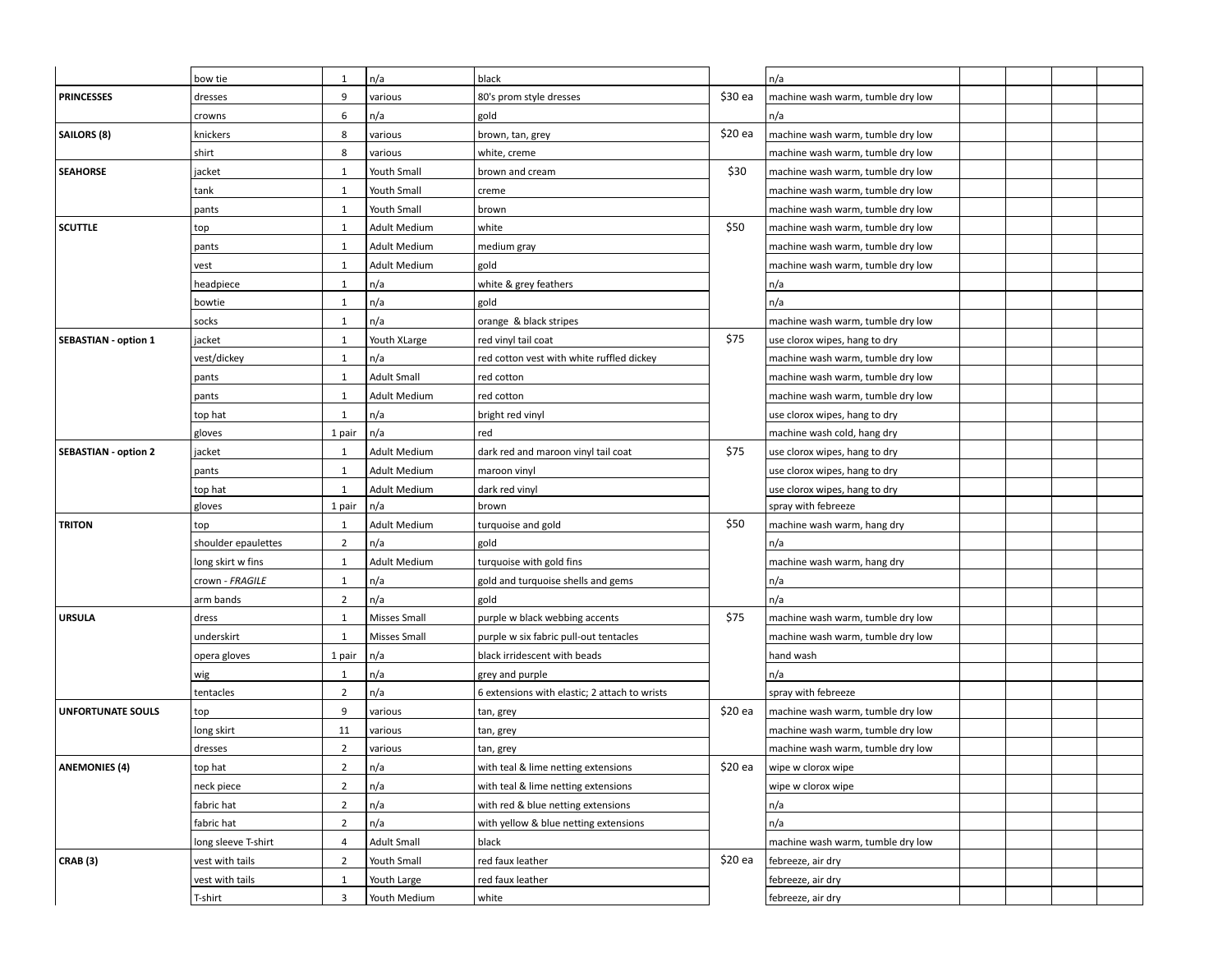|                             | bow tie             | 1              | n/a                 | black                                         |         | n/a                               |  |
|-----------------------------|---------------------|----------------|---------------------|-----------------------------------------------|---------|-----------------------------------|--|
| <b>PRINCESSES</b>           | dresses             | 9              | various             | 80's prom style dresses                       | \$30 ea | machine wash warm, tumble dry low |  |
|                             | crowns              | 6              | n/a                 | gold                                          |         | n/a                               |  |
| SAILORS (8)                 | knickers            | 8              | various             | brown, tan, grey                              | \$20 ea | machine wash warm, tumble dry low |  |
|                             | shirt               | 8              | various             | white, creme                                  |         | machine wash warm, tumble dry low |  |
| <b>SEAHORSE</b>             | jacket              | $\mathbf{1}$   | Youth Small         | brown and cream                               | \$30    | machine wash warm, tumble dry low |  |
|                             | tank                | $\mathbf{1}$   | Youth Small         | creme                                         |         | machine wash warm, tumble dry low |  |
|                             | pants               | $\mathbf{1}$   | Youth Small         | brown                                         |         | machine wash warm, tumble dry low |  |
| <b>SCUTTLE</b>              | top                 | $\mathbf{1}$   | Adult Medium        | white                                         | \$50    | machine wash warm, tumble dry low |  |
|                             | pants               | $\mathbf{1}$   | <b>Adult Medium</b> | medium gray                                   |         | machine wash warm, tumble dry low |  |
|                             | vest                | $\mathbf{1}$   | <b>Adult Medium</b> | gold                                          |         | machine wash warm, tumble dry low |  |
|                             | headpiece           | $\mathbf{1}$   | n/a                 | white & grey feathers                         |         | n/a                               |  |
|                             | bowtie              | $\mathbf{1}$   | n/a                 | gold                                          |         | n/a                               |  |
|                             | socks               | $\mathbf{1}$   | n/a                 | orange & black stripes                        |         | machine wash warm, tumble dry low |  |
| <b>SEBASTIAN - option 1</b> | jacket              | $\mathbf{1}$   | Youth XLarge        | red vinyl tail coat                           | \$75    | use clorox wipes, hang to dry     |  |
|                             | vest/dickey         | $\mathbf{1}$   | n/a                 | red cotton vest with white ruffled dickey     |         | machine wash warm, tumble dry low |  |
|                             | pants               | $\mathbf{1}$   | <b>Adult Small</b>  | red cotton                                    |         | machine wash warm, tumble dry low |  |
|                             | pants               | $\mathbf{1}$   | Adult Medium        | red cotton                                    |         | machine wash warm, tumble dry low |  |
|                             | top hat             | $\mathbf{1}$   | n/a                 | bright red vinyl                              |         | use clorox wipes, hang to dry     |  |
|                             | gloves              | 1 pair         | n/a                 | red                                           |         | machine wash cold, hang dry       |  |
| <b>SEBASTIAN - option 2</b> | jacket              | $\mathbf{1}$   | <b>Adult Medium</b> | dark red and maroon vinyl tail coat           | \$75    | use clorox wipes, hang to dry     |  |
|                             | pants               | $\mathbf{1}$   | Adult Medium        | maroon vinyl                                  |         | use clorox wipes, hang to dry     |  |
|                             | top hat             | $\mathbf{1}$   | <b>Adult Medium</b> | dark red vinyl                                |         | use clorox wipes, hang to dry     |  |
|                             | gloves              | 1 pair         | n/a                 | brown                                         |         | spray with febreeze               |  |
| <b>TRITON</b>               | top                 | 1              | Adult Medium        | turquoise and gold                            | \$50    | machine wash warm, hang dry       |  |
|                             | shoulder epaulettes | $\overline{2}$ | n/a                 | gold                                          |         | n/a                               |  |
|                             | long skirt w fins   | 1              | Adult Medium        | turquoise with gold fins                      |         | machine wash warm, hang dry       |  |
|                             | crown - FRAGILE     | 1              | n/a                 | gold and turquoise shells and gems            |         | n/a                               |  |
|                             | arm bands           | $\overline{2}$ | n/a                 | gold                                          |         | n/a                               |  |
| <b>URSULA</b>               | dress               | $\mathbf{1}$   | Misses Small        | purple w black webbing accents                | \$75    | machine wash warm, tumble dry low |  |
|                             | underskirt          | $\mathbf{1}$   | Misses Small        | purple w six fabric pull-out tentacles        |         | machine wash warm, tumble dry low |  |
|                             | opera gloves        | 1 pair         | n/a                 | black irridescent with beads                  |         | hand wash                         |  |
|                             | wig                 | $\mathbf{1}$   | n/a                 | grey and purple                               |         | n/a                               |  |
|                             | tentacles           | $\overline{2}$ | n/a                 | 6 extensions with elastic; 2 attach to wrists |         | spray with febreeze               |  |
| <b>UNFORTUNATE SOULS</b>    | top                 | 9              | various             | tan, grey                                     | \$20 ea | machine wash warm, tumble dry low |  |
|                             | long skirt          | 11             | various             | tan, grey                                     |         | machine wash warm, tumble dry low |  |
|                             | dresses             | $\overline{2}$ | various             | tan, grey                                     |         | machine wash warm, tumble dry low |  |
| <b>ANEMONIES (4)</b>        | top hat             | $\overline{2}$ | n/a                 | with teal & lime netting extensions           | \$20 ea | wipe w clorox wipe                |  |
|                             | neck piece          | $\overline{2}$ | n/a                 | with teal & lime netting extensions           |         | wipe w clorox wipe                |  |
|                             | fabric hat          | $\overline{2}$ | n/a                 | with red & blue netting extensions            |         | n/a                               |  |
|                             | fabric hat          | $\overline{2}$ | n/a                 | with yellow & blue netting extensions         |         | n/a                               |  |
|                             | long sleeve T-shirt | $\overline{4}$ | <b>Adult Small</b>  | black                                         |         | machine wash warm, tumble dry low |  |
| CRAB (3)                    | vest with tails     | $\overline{2}$ | Youth Small         | red faux leather                              | \$20 ea | febreeze, air dry                 |  |
|                             | vest with tails     | $\mathbf{1}$   | Youth Large         | red faux leather                              |         | febreeze, air dry                 |  |
|                             | T-shirt             | 3              | Youth Medium        | white                                         |         | febreeze, air dry                 |  |
|                             |                     |                |                     |                                               |         |                                   |  |